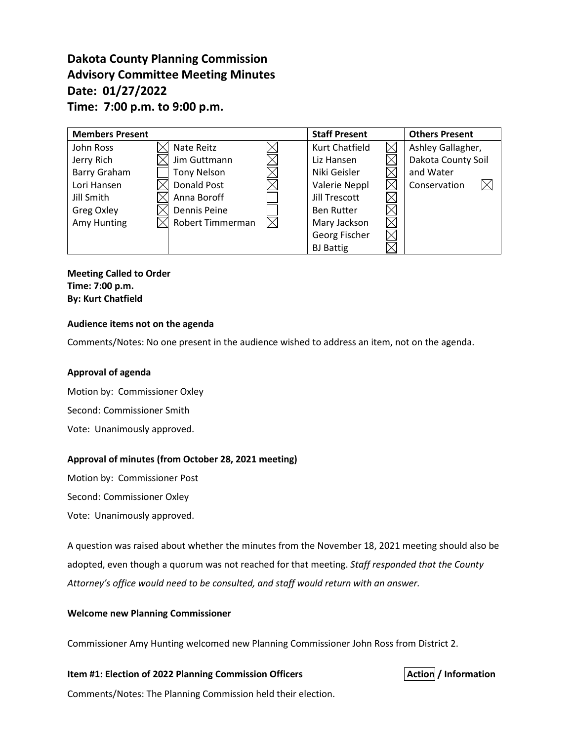# **Dakota County Planning Commission Advisory Committee Meeting Minutes Date: 01/27/2022 Time: 7:00 p.m. to 9:00 p.m.**

| <b>Members Present</b> |                         | <b>Staff Present</b> | <b>Others Present</b> |          |
|------------------------|-------------------------|----------------------|-----------------------|----------|
| John Ross              | Nate Reitz              | Kurt Chatfield       | Ashley Gallagher,     |          |
| Jerry Rich             | Jim Guttmann            | Liz Hansen           | Dakota County Soil    |          |
| Barry Graham           | <b>Tony Nelson</b>      | Niki Geisler         | and Water             |          |
| Lori Hansen            | Donald Post             | Valerie Neppl        | Conservation          | $\times$ |
| Jill Smith             | Anna Boroff             | <b>Jill Trescott</b> |                       |          |
| Greg Oxley             | Dennis Peine            | <b>Ben Rutter</b>    |                       |          |
| Amy Hunting            | <b>Robert Timmerman</b> | Mary Jackson         |                       |          |
|                        |                         | Georg Fischer        |                       |          |
|                        |                         | <b>BJ</b> Battig     |                       |          |

**Meeting Called to Order Time: 7:00 p.m. By: Kurt Chatfield**

### **Audience items not on the agenda**

Comments/Notes: No one present in the audience wished to address an item, not on the agenda.

### **Approval of agenda**

Motion by: Commissioner Oxley Second: Commissioner Smith Vote: Unanimously approved.

### **Approval of minutes (from October 28, 2021 meeting)**

Motion by: Commissioner Post

Second: Commissioner Oxley

Vote: Unanimously approved.

A question was raised about whether the minutes from the November 18, 2021 meeting should also be adopted, even though a quorum was not reached for that meeting. *Staff responded that the County Attorney's office would need to be consulted, and staff would return with an answer.*

### **Welcome new Planning Commissioner**

Commissioner Amy Hunting welcomed new Planning Commissioner John Ross from District 2.

### **Item #1: Election of 2022 Planning Commission Officers**  $\vert$  **Action / Information**

Comments/Notes: The Planning Commission held their election.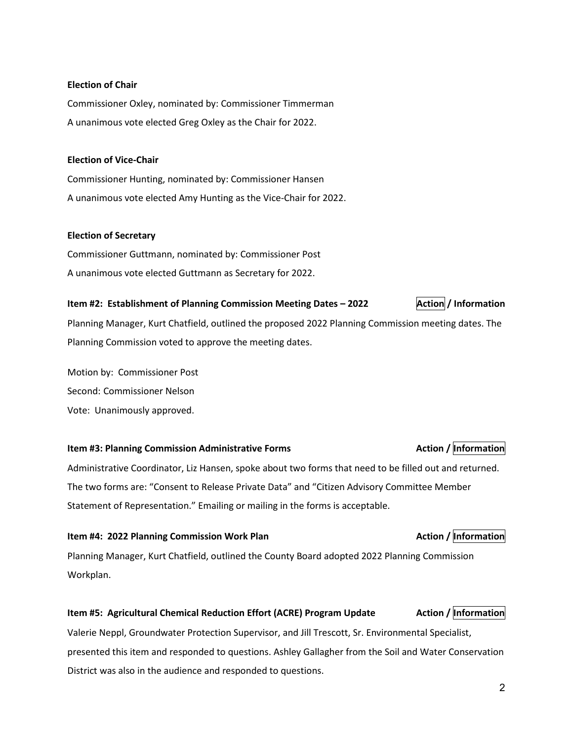### **Election of Chair**

Commissioner Oxley, nominated by: Commissioner Timmerman A unanimous vote elected Greg Oxley as the Chair for 2022.

### **Election of Vice-Chair**

Commissioner Hunting, nominated by: Commissioner Hansen A unanimous vote elected Amy Hunting as the Vice-Chair for 2022.

### **Election of Secretary**

Commissioner Guttmann, nominated by: Commissioner Post A unanimous vote elected Guttmann as Secretary for 2022.

# **Item #2: Establishment of Planning Commission Meeting Dates – 2022 Action / Information**

Planning Manager, Kurt Chatfield, outlined the proposed 2022 Planning Commission meeting dates. The Planning Commission voted to approve the meeting dates.

Motion by: Commissioner Post Second: Commissioner Nelson Vote: Unanimously approved.

# **Item #3: Planning Commission Administrative Forms Action** *Action* / **Information**

Administrative Coordinator, Liz Hansen, spoke about two forms that need to be filled out and returned. The two forms are: "Consent to Release Private Data" and "Citizen Advisory Committee Member Statement of Representation." Emailing or mailing in the forms is acceptable.

**Item #4: 2022 Planning Commission Work Plan Action / Information** Planning Manager, Kurt Chatfield, outlined the County Board adopted 2022 Planning Commission Workplan.

### **Item #5: Agricultural Chemical Reduction Effort (ACRE) Program Update Action / Information**

Valerie Neppl, Groundwater Protection Supervisor, and Jill Trescott, Sr. Environmental Specialist, presented this item and responded to questions. Ashley Gallagher from the Soil and Water Conservation District was also in the audience and responded to questions.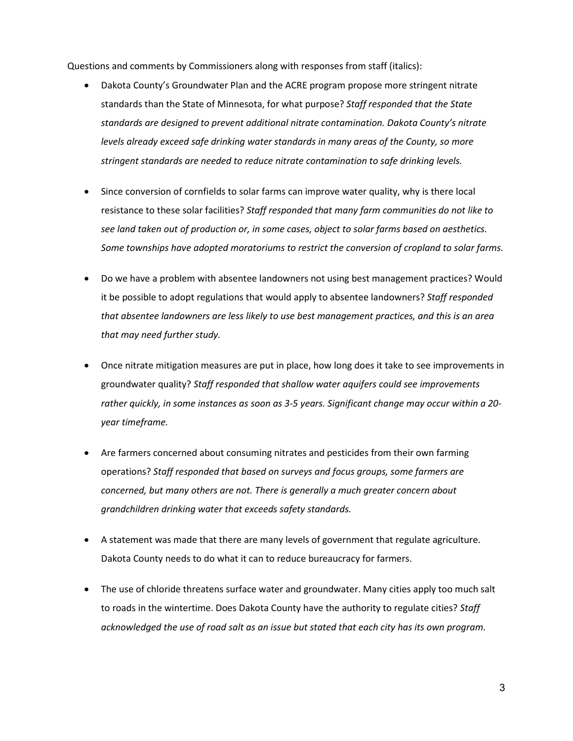Questions and comments by Commissioners along with responses from staff (italics):

- Dakota County's Groundwater Plan and the ACRE program propose more stringent nitrate standards than the State of Minnesota, for what purpose? *Staff responded that the State standards are designed to prevent additional nitrate contamination. Dakota County's nitrate levels already exceed safe drinking water standards in many areas of the County, so more stringent standards are needed to reduce nitrate contamination to safe drinking levels.*
- Since conversion of cornfields to solar farms can improve water quality, why is there local resistance to these solar facilities? *Staff responded that many farm communities do not like to see land taken out of production or, in some cases, object to solar farms based on aesthetics. Some townships have adopted moratoriums to restrict the conversion of cropland to solar farms.*
- Do we have a problem with absentee landowners not using best management practices? Would it be possible to adopt regulations that would apply to absentee landowners? *Staff responded that absentee landowners are less likely to use best management practices, and this is an area that may need further study.*
- Once nitrate mitigation measures are put in place, how long does it take to see improvements in groundwater quality? *Staff responded that shallow water aquifers could see improvements rather quickly, in some instances as soon as 3-5 years. Significant change may occur within a 20 year timeframe.*
- Are farmers concerned about consuming nitrates and pesticides from their own farming operations? *Staff responded that based on surveys and focus groups, some farmers are concerned, but many others are not. There is generally a much greater concern about grandchildren drinking water that exceeds safety standards.*
- A statement was made that there are many levels of government that regulate agriculture. Dakota County needs to do what it can to reduce bureaucracy for farmers.
- The use of chloride threatens surface water and groundwater. Many cities apply too much salt to roads in the wintertime. Does Dakota County have the authority to regulate cities? *Staff acknowledged the use of road salt as an issue but stated that each city has its own program.*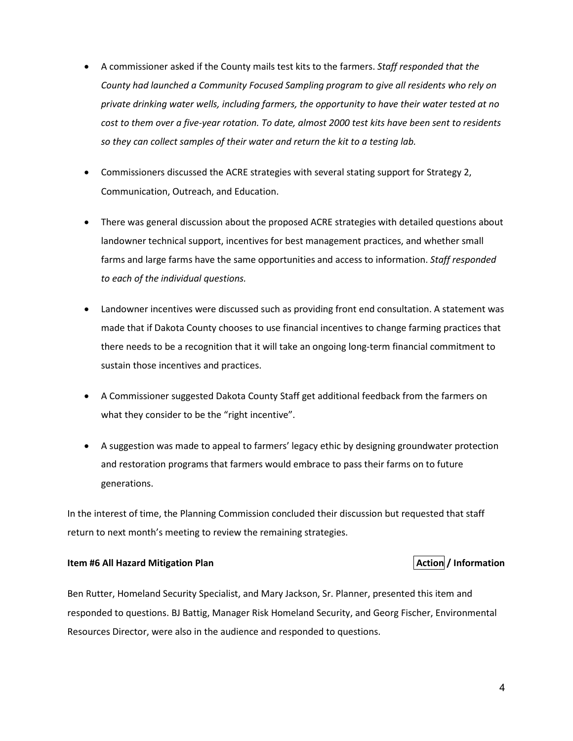- A commissioner asked if the County mails test kits to the farmers. *Staff responded that the County had launched a Community Focused Sampling program to give all residents who rely on private drinking water wells, including farmers, the opportunity to have their water tested at no cost to them over a five-year rotation. To date, almost 2000 test kits have been sent to residents so they can collect samples of their water and return the kit to a testing lab.*
- Commissioners discussed the ACRE strategies with several stating support for Strategy 2, Communication, Outreach, and Education.
- There was general discussion about the proposed ACRE strategies with detailed questions about landowner technical support, incentives for best management practices, and whether small farms and large farms have the same opportunities and access to information. *Staff responded to each of the individual questions.*
- Landowner incentives were discussed such as providing front end consultation. A statement was made that if Dakota County chooses to use financial incentives to change farming practices that there needs to be a recognition that it will take an ongoing long-term financial commitment to sustain those incentives and practices.
- A Commissioner suggested Dakota County Staff get additional feedback from the farmers on what they consider to be the "right incentive".
- A suggestion was made to appeal to farmers' legacy ethic by designing groundwater protection and restoration programs that farmers would embrace to pass their farms on to future generations.

In the interest of time, the Planning Commission concluded their discussion but requested that staff return to next month's meeting to review the remaining strategies.

### **Item #6 All Hazard Mitigation Plan Action Action Action Action** *Action* **<b>***Action Action Action Action Action Action Action Action Action Action Action Action Actio*

Ben Rutter, Homeland Security Specialist, and Mary Jackson, Sr. Planner, presented this item and responded to questions. BJ Battig, Manager Risk Homeland Security, and Georg Fischer, Environmental Resources Director, were also in the audience and responded to questions.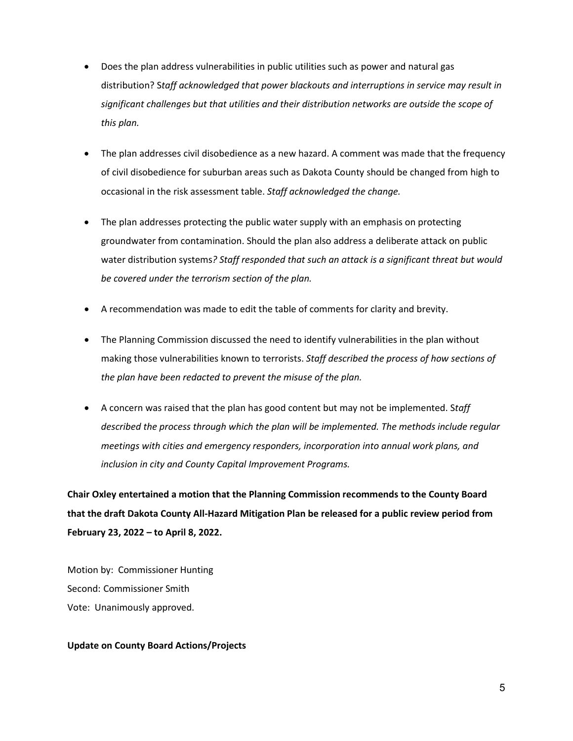- Does the plan address vulnerabilities in public utilities such as power and natural gas distribution? S*taff acknowledged that power blackouts and interruptions in service may result in significant challenges but that utilities and their distribution networks are outside the scope of this plan.*
- The plan addresses civil disobedience as a new hazard. A comment was made that the frequency of civil disobedience for suburban areas such as Dakota County should be changed from high to occasional in the risk assessment table. *Staff acknowledged the change.*
- The plan addresses protecting the public water supply with an emphasis on protecting groundwater from contamination. Should the plan also address a deliberate attack on public water distribution systems*? Staff responded that such an attack is a significant threat but would be covered under the terrorism section of the plan.*
- A recommendation was made to edit the table of comments for clarity and brevity.
- The Planning Commission discussed the need to identify vulnerabilities in the plan without making those vulnerabilities known to terrorists. *Staff described the process of how sections of the plan have been redacted to prevent the misuse of the plan.*
- A concern was raised that the plan has good content but may not be implemented. S*taff described the process through which the plan will be implemented. The methods include regular meetings with cities and emergency responders, incorporation into annual work plans, and inclusion in city and County Capital Improvement Programs.*

**Chair Oxley entertained a motion that the Planning Commission recommends to the County Board that the draft Dakota County All-Hazard Mitigation Plan be released for a public review period from February 23, 2022 – to April 8, 2022.**

Motion by: Commissioner Hunting Second: Commissioner Smith Vote: Unanimously approved.

# **Update on County Board Actions/Projects**